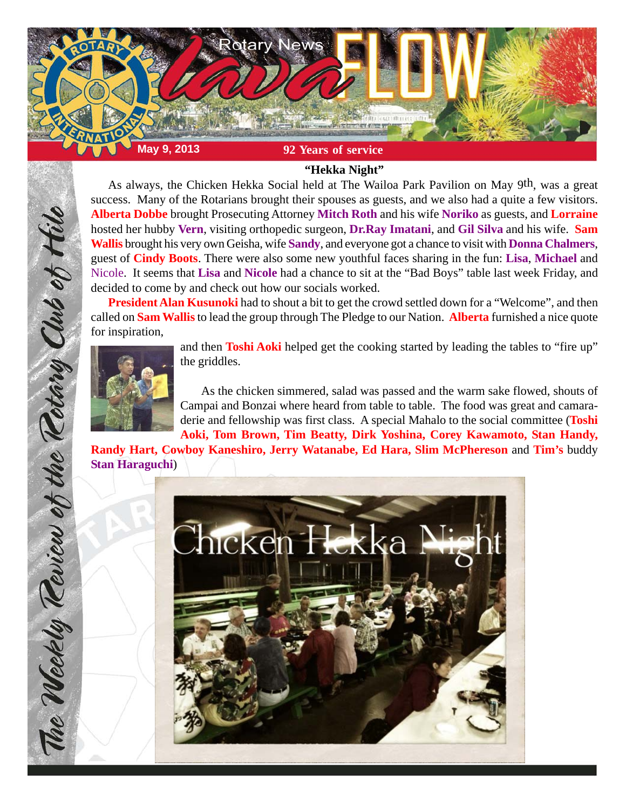

## **"Hekka Night"**

As always, the Chicken Hekka Social held at The Wailoa Park Pavilion on May 9th, was a great success. Many of the Rotarians brought their spouses as guests, and we also had a quite a few visitors. **Alberta Dobbe** brought Prosecuting Attorney **Mitch Roth** and his wife **Noriko** as guests, and **Lorraine** hosted her hubby **Vern**, visiting orthopedic surgeon, **Dr.Ray Imatani**, and **Gil Silva** and his wife. **Sam Wallis** brought his very own Geisha, wife **Sandy**, and everyone got a chance to visit with **Donna Chalmers**, guest of **Cindy Boots**. There were also some new youthful faces sharing in the fun: **Lisa**, **Michael** and Nicole. It seems that **Lisa** and **Nicole** had a chance to sit at the "Bad Boys" table last week Friday, and decided to come by and check out how our socials worked.

**President Alan Kusunoki** had to shout a bit to get the crowd settled down for a "Welcome", and then called on **Sam Wallis** to lead the group through The Pledge to our Nation. **Alberta** furnished a nice quote for inspiration,



The Weekly Review of the Rotary Club of Hile

and then **Toshi Aoki** helped get the cooking started by leading the tables to "fire up" the griddles.

As the chicken simmered, salad was passed and the warm sake flowed, shouts of Campai and Bonzai where heard from table to table. The food was great and camaraderie and fellowship was first class. A special Mahalo to the social committee (**Toshi Aoki, Tom Brown, Tim Beatty, Dirk Yoshina, Corey Kawamoto, Stan Handy,**

**Randy Hart, Cowboy Kaneshiro, Jerry Watanabe, Ed Hara, Slim McPhereson** and **Tim's** buddy **Stan Haraguchi**)

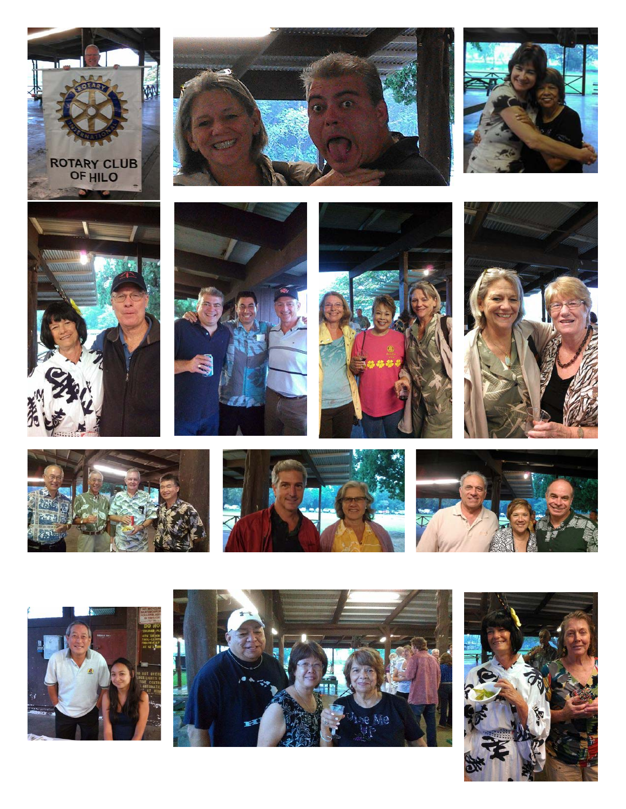**ROTARY CLUB OF HILO**